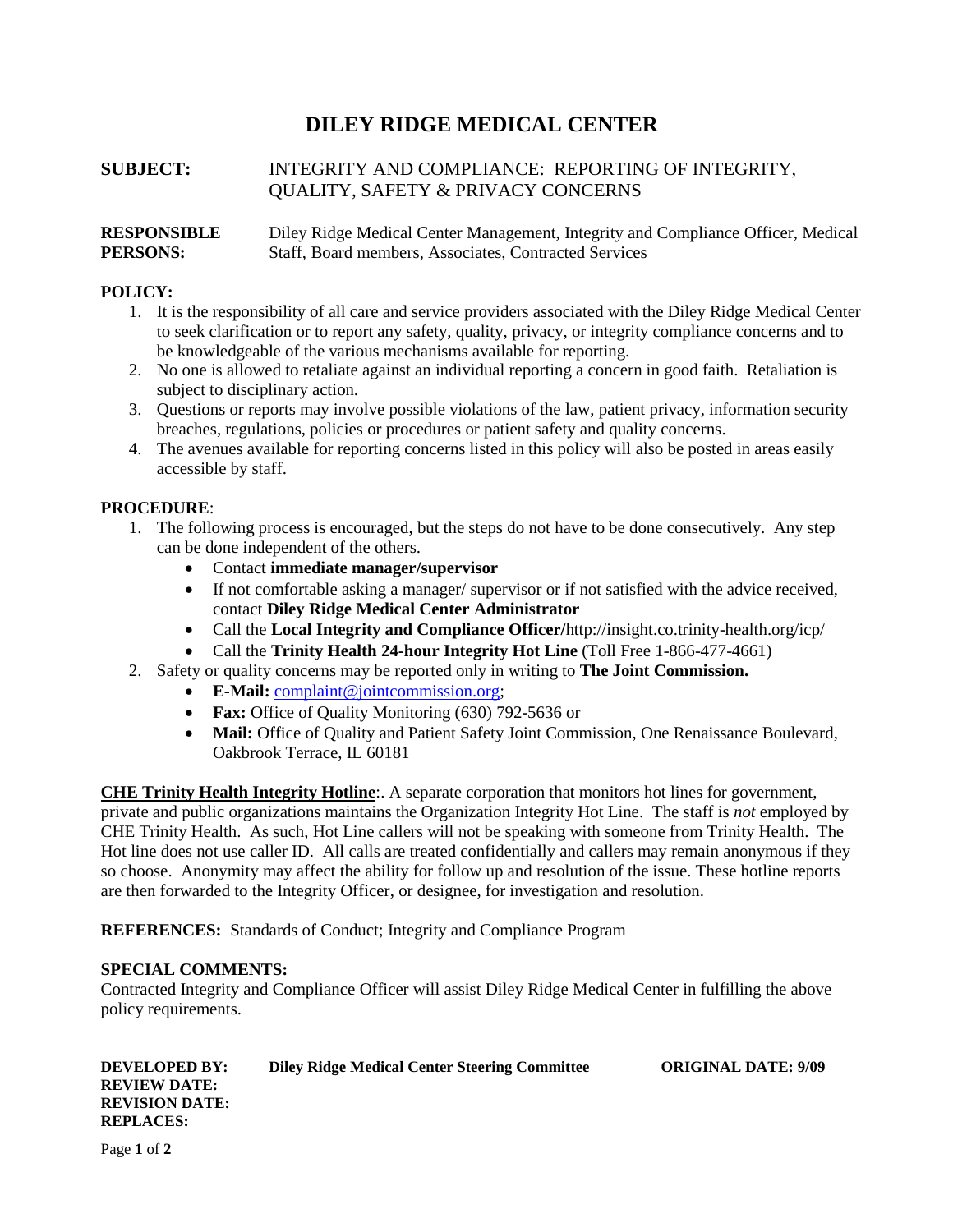# **DILEY RIDGE MEDICAL CENTER**

# **SUBJECT:** INTEGRITY AND COMPLIANCE: REPORTING OF INTEGRITY, QUALITY, SAFETY & PRIVACY CONCERNS

## **RESPONSIBLE** Diley Ridge Medical Center Management, Integrity and Compliance Officer, Medical **PERSONS:** Staff, Board members, Associates, Contracted Services

## **POLICY:**

- 1. It is the responsibility of all care and service providers associated with the Diley Ridge Medical Center to seek clarification or to report any safety, quality, privacy, or integrity compliance concerns and to be knowledgeable of the various mechanisms available for reporting.
- 2. No one is allowed to retaliate against an individual reporting a concern in good faith. Retaliation is subject to disciplinary action.
- 3. Questions or reports may involve possible violations of the law, patient privacy, information security breaches, regulations, policies or procedures or patient safety and quality concerns.
- 4. The avenues available for reporting concerns listed in this policy will also be posted in areas easily accessible by staff.

## **PROCEDURE**:

- 1. The following process is encouraged, but the steps do not have to be done consecutively. Any step can be done independent of the others.
	- Contact **immediate manager/supervisor**
	- If not comfortable asking a manager/ supervisor or if not satisfied with the advice received, contact **Diley Ridge Medical Center Administrator**
	- Call the **Local Integrity and Compliance Officer/**http://insight.co.trinity-health.org/icp/
	- Call the **Trinity Health 24-hour Integrity Hot Line** (Toll Free 1-866-477-4661)
- 2. Safety or quality concerns may be reported only in writing to **The Joint Commission.**
	- **E-Mail:** [complaint@jointcommission.org;](mailto:complaint@jointcommission.org)
	- **Fax:** Office of Quality Monitoring (630) 792-5636 or
	- **Mail:** Office of Quality and Patient Safety Joint Commission, One Renaissance Boulevard, Oakbrook Terrace, IL 60181

**CHE Trinity Health Integrity Hotline**:. A separate corporation that monitors hot lines for government, private and public organizations maintains the Organization Integrity Hot Line. The staff is *not* employed by CHE Trinity Health. As such, Hot Line callers will not be speaking with someone from Trinity Health. The Hot line does not use caller ID. All calls are treated confidentially and callers may remain anonymous if they so choose. Anonymity may affect the ability for follow up and resolution of the issue. These hotline reports are then forwarded to the Integrity Officer, or designee, for investigation and resolution.

**REFERENCES:** Standards of Conduct; Integrity and Compliance Program

## **SPECIAL COMMENTS:**

Contracted Integrity and Compliance Officer will assist Diley Ridge Medical Center in fulfilling the above policy requirements.

| <b>DEVELOPED BY:</b><br><b>REVIEW DATE:</b><br><b>REVISION DATE:</b><br><b>REPLACES:</b> | <b>Diley Ridge Medical Center Steering Committee</b> | <b>ORIGINAL DATE: 9/09</b> |
|------------------------------------------------------------------------------------------|------------------------------------------------------|----------------------------|
| Page 1 of 2                                                                              |                                                      |                            |